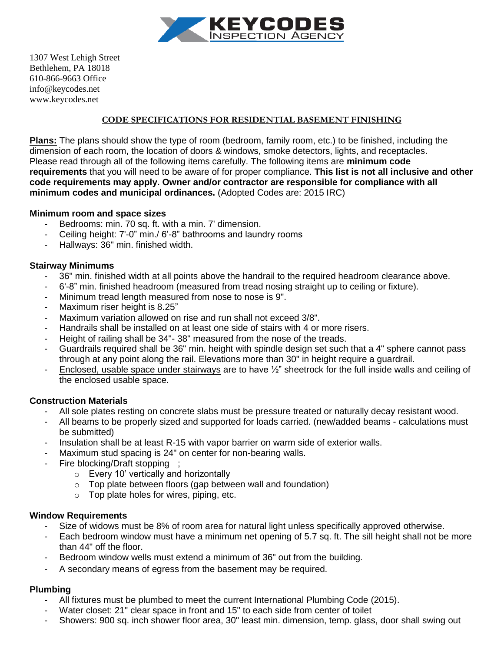

1307 West Lehigh Street Bethlehem, PA 18018 610-866-9663 Office info@keycodes.net www.keycodes.net

#### CODE SPECIFICATIONS FOR RESIDENTIAL BASEMENT FINISHING

**Plans:** The plans should show the type of room (bedroom, family room, etc.) to be finished, including the dimension of each room, the location of doors & windows, smoke detectors, lights, and receptacles. Please read through all of the following items carefully. The following items are **minimum code requirements** that you will need to be aware of for proper compliance. **This list is not all inclusive and other code requirements may apply. Owner and/or contractor are responsible for compliance with all minimum codes and municipal ordinances.** (Adopted Codes are: 2015 IRC)

#### **Minimum room and space sizes**

- Bedrooms: min. 70 sq. ft. with a min. 7' dimension.
- Ceiling height: 7'-0" min./ 6'-8" bathrooms and laundry rooms
- Hallways: 36" min. finished width.

#### **Stairway Minimums**

- 36" min. finished width at all points above the handrail to the required headroom clearance above.
- 6'-8" min. finished headroom (measured from tread nosing straight up to ceiling or fixture).
- Minimum tread length measured from nose to nose is 9".
- Maximum riser height is 8.25"
- Maximum variation allowed on rise and run shall not exceed 3/8".
- Handrails shall be installed on at least one side of stairs with 4 or more risers.
- Height of railing shall be 34"-38" measured from the nose of the treads.
- Guardrails required shall be 36" min. height with spindle design set such that a 4" sphere cannot pass through at any point along the rail. Elevations more than 30" in height require a guardrail.
- Enclosed, usable space under stairways are to have <sup>1/2"</sup> sheetrock for the full inside walls and ceiling of the enclosed usable space.

### **Construction Materials**

- All sole plates resting on concrete slabs must be pressure treated or naturally decay resistant wood.
- All beams to be properly sized and supported for loads carried. (new/added beams calculations must be submitted)
- Insulation shall be at least R-15 with vapor barrier on warm side of exterior walls.
- Maximum stud spacing is 24" on center for non-bearing walls.
- Fire blocking/Draft stopping ;
	- o Every 10' vertically and horizontally
	- o Top plate between floors (gap between wall and foundation)
	- o Top plate holes for wires, piping, etc.

#### **Window Requirements**

- Size of widows must be 8% of room area for natural light unless specifically approved otherwise.
- Each bedroom window must have a minimum net opening of 5.7 sq. ft. The sill height shall not be more than 44" off the floor.
- Bedroom window wells must extend a minimum of 36" out from the building.
- A secondary means of egress from the basement may be required.

### **Plumbing**

- All fixtures must be plumbed to meet the current International Plumbing Code (2015).
- Water closet: 21" clear space in front and 15" to each side from center of toilet
- Showers: 900 sq. inch shower floor area, 30" least min. dimension, temp. glass, door shall swing out